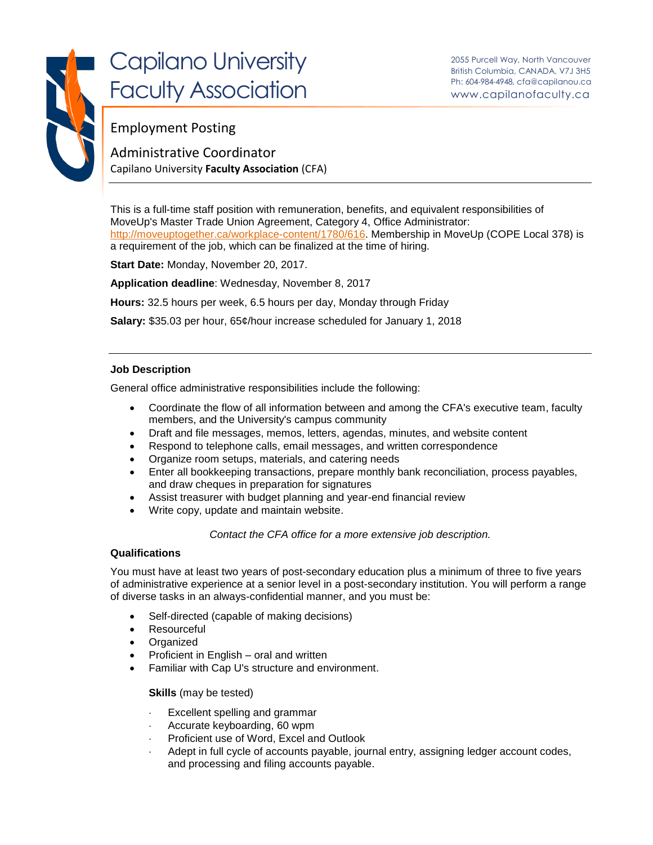

# Capilano University Faculty Association

## Employment Posting

Administrative Coordinator Capilano University **Faculty Association** (CFA)

This is a full-time staff position with remuneration, benefits, and equivalent responsibilities of MoveUp's Master Trade Union Agreement, Category 4, Office Administrator: [http://moveuptogether.ca/workplace-content/1780/616.](http://moveuptogether.ca/workplace-content/1780/616) Membership in MoveUp (COPE Local 378) is a requirement of the job, which can be finalized at the time of hiring.

**Start Date:** Monday, November 20, 2017.

**Application deadline**: Wednesday, November 8, 2017

**Hours:** 32.5 hours per week, 6.5 hours per day, Monday through Friday

**Salary:** \$35.03 per hour, 65¢/hour increase scheduled for January 1, 2018

#### **Job Description**

General office administrative responsibilities include the following:

- Coordinate the flow of all information between and among the CFA's executive team, faculty members, and the University's campus community
- Draft and file messages, memos, letters, agendas, minutes, and website content
- Respond to telephone calls, email messages, and written correspondence
- Organize room setups, materials, and catering needs
- Enter all bookkeeping transactions, prepare monthly bank reconciliation, process payables, and draw cheques in preparation for signatures
- Assist treasurer with budget planning and year-end financial review
- Write copy, update and maintain website.

*Contact the CFA office for a more extensive job description.*

### **Qualifications**

You must have at least two years of post-secondary education plus a minimum of three to five years of administrative experience at a senior level in a post-secondary institution. You will perform a range of diverse tasks in an always-confidential manner, and you must be:

- Self-directed (capable of making decisions)
- Resourceful
- Organized
- Proficient in English oral and written
- Familiar with Cap U's structure and environment.

**Skills** (may be tested)

- Excellent spelling and grammar
- Accurate keyboarding, 60 wpm
- Proficient use of Word, Excel and Outlook
- Adept in full cycle of accounts payable, journal entry, assigning ledger account codes, and processing and filing accounts payable.